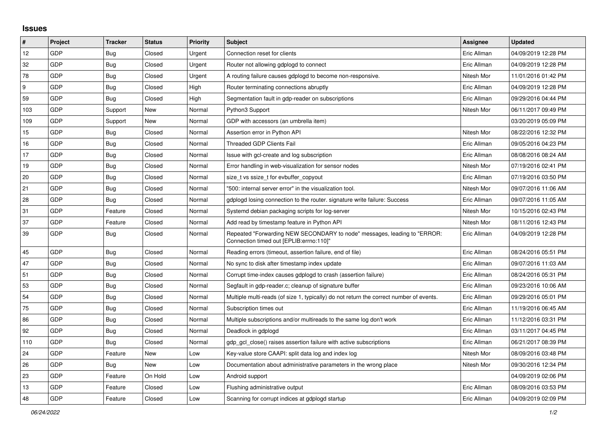## **Issues**

| $\pmb{\#}$ | Project    | <b>Tracker</b> | <b>Status</b> | <b>Priority</b> | <b>Subject</b>                                                                                                      | Assignee    | <b>Updated</b>      |
|------------|------------|----------------|---------------|-----------------|---------------------------------------------------------------------------------------------------------------------|-------------|---------------------|
| 12         | GDP        | Bug            | Closed        | Urgent          | Connection reset for clients                                                                                        | Eric Allman | 04/09/2019 12:28 PM |
| 32         | GDP        | Bug            | Closed        | Urgent          | Router not allowing gdplogd to connect                                                                              | Eric Allman | 04/09/2019 12:28 PM |
| 78         | GDP        | <b>Bug</b>     | Closed        | Urgent          | A routing failure causes gdplogd to become non-responsive.                                                          | Nitesh Mor  | 11/01/2016 01:42 PM |
| 9          | GDP        | <b>Bug</b>     | Closed        | High            | Router terminating connections abruptly                                                                             | Eric Allman | 04/09/2019 12:28 PM |
| 59         | GDP        | Bug            | Closed        | High            | Segmentation fault in gdp-reader on subscriptions                                                                   | Eric Allman | 09/29/2016 04:44 PM |
| 103        | GDP        | Support        | New           | Normal          | Python3 Support                                                                                                     | Nitesh Mor  | 06/11/2017 09:49 PM |
| 109        | GDP        | Support        | New           | Normal          | GDP with accessors (an umbrella item)                                                                               |             | 03/20/2019 05:09 PM |
| 15         | GDP        | Bug            | Closed        | Normal          | Assertion error in Python API                                                                                       | Nitesh Mor  | 08/22/2016 12:32 PM |
| 16         | GDP        | Bug            | Closed        | Normal          | <b>Threaded GDP Clients Fail</b>                                                                                    | Eric Allman | 09/05/2016 04:23 PM |
| 17         | GDP        | Bug            | Closed        | Normal          | Issue with gcl-create and log subscription                                                                          | Eric Allman | 08/08/2016 08:24 AM |
| 19         | <b>GDP</b> | Bug            | Closed        | Normal          | Error handling in web-visualization for sensor nodes                                                                | Nitesh Mor  | 07/19/2016 02:41 PM |
| 20         | GDP        | Bug            | Closed        | Normal          | size t vs ssize t for evbuffer copyout                                                                              | Eric Allman | 07/19/2016 03:50 PM |
| 21         | GDP        | Bug            | Closed        | Normal          | '500: internal server error" in the visualization tool.                                                             | Nitesh Mor  | 09/07/2016 11:06 AM |
| 28         | GDP        | Bug            | Closed        | Normal          | gdplogd losing connection to the router, signature write failure: Success                                           | Eric Allman | 09/07/2016 11:05 AM |
| 31         | GDP        | Feature        | Closed        | Normal          | Systemd debian packaging scripts for log-server                                                                     | Nitesh Mor  | 10/15/2016 02:43 PM |
| 37         | GDP        | Feature        | Closed        | Normal          | Add read by timestamp feature in Python API                                                                         | Nitesh Mor  | 08/11/2016 12:43 PM |
| 39         | GDP        | Bug            | Closed        | Normal          | Repeated "Forwarding NEW SECONDARY to node" messages, leading to "ERROR:<br>Connection timed out [EPLIB:errno:110]" | Eric Allman | 04/09/2019 12:28 PM |
| 45         | GDP        | Bug            | Closed        | Normal          | Reading errors (timeout, assertion failure, end of file)                                                            | Eric Allman | 08/24/2016 05:51 PM |
| 47         | <b>GDP</b> | <b>Bug</b>     | Closed        | Normal          | No sync to disk after timestamp index update                                                                        | Eric Allman | 09/07/2016 11:03 AM |
| 51         | <b>GDP</b> | <b>Bug</b>     | Closed        | Normal          | Corrupt time-index causes gdplogd to crash (assertion failure)                                                      | Eric Allman | 08/24/2016 05:31 PM |
| 53         | GDP        | <b>Bug</b>     | Closed        | Normal          | Segfault in gdp-reader.c; cleanup of signature buffer                                                               | Eric Allman | 09/23/2016 10:06 AM |
| 54         | <b>GDP</b> | <b>Bug</b>     | Closed        | Normal          | Multiple multi-reads (of size 1, typically) do not return the correct number of events.                             | Eric Allman | 09/29/2016 05:01 PM |
| 75         | GDP        | Bug            | Closed        | Normal          | Subscription times out                                                                                              | Eric Allman | 11/19/2016 06:45 AM |
| 86         | GDP        | Bug            | Closed        | Normal          | Multiple subscriptions and/or multireads to the same log don't work                                                 | Eric Allman | 11/12/2016 03:31 PM |
| 92         | GDP        | Bug            | Closed        | Normal          | Deadlock in gdplogd                                                                                                 | Eric Allman | 03/11/2017 04:45 PM |
| 110        | <b>GDP</b> | <b>Bug</b>     | Closed        | Normal          | adp acl close() raises assertion failure with active subscriptions                                                  | Eric Allman | 06/21/2017 08:39 PM |
| 24         | GDP        | Feature        | New           | Low             | Key-value store CAAPI: split data log and index log                                                                 | Nitesh Mor  | 08/09/2016 03:48 PM |
| 26         | GDP        | Bug            | New           | Low             | Documentation about administrative parameters in the wrong place                                                    | Nitesh Mor  | 09/30/2016 12:34 PM |
| 23         | GDP        | Feature        | On Hold       | Low             | Android support                                                                                                     |             | 04/09/2019 02:06 PM |
| 13         | GDP        | Feature        | Closed        | Low             | Flushing administrative output                                                                                      | Eric Allman | 08/09/2016 03:53 PM |
| 48         | GDP        | Feature        | Closed        | Low             | Scanning for corrupt indices at gdplogd startup                                                                     | Eric Allman | 04/09/2019 02:09 PM |